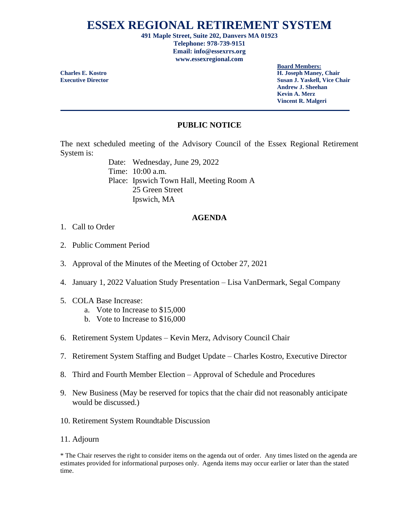## **ESSEX REGIONAL RETIREMENT SYSTEM**

**491 Maple Street, Suite 202, Danvers MA 01923 Telephone: 978-739-9151 Email: info@essexrrs.org www.essexregional.com**

**Board Members: Charles E. Kostro H. Joseph Maney, Chair Executive Director Susan J. Yaskell, Vice Chair Andrew J. Sheehan Kevin A. Merz Vincent R. Malgeri**

## **PUBLIC NOTICE**

The next scheduled meeting of the Advisory Council of the Essex Regional Retirement System is:

> Date: Wednesday, June 29, 2022 Time: 10:00 a.m. Place: Ipswich Town Hall, Meeting Room A 25 Green Street Ipswich, MA

## **AGENDA**

- 1. Call to Order
- 2. Public Comment Period
- 3. Approval of the Minutes of the Meeting of October 27, 2021
- 4. January 1, 2022 Valuation Study Presentation Lisa VanDermark, Segal Company
- 5. COLA Base Increase:
	- a. Vote to Increase to \$15,000
	- b. Vote to Increase to \$16,000
- 6. Retirement System Updates Kevin Merz, Advisory Council Chair
- 7. Retirement System Staffing and Budget Update Charles Kostro, Executive Director
- 8. Third and Fourth Member Election Approval of Schedule and Procedures
- 9. New Business (May be reserved for topics that the chair did not reasonably anticipate would be discussed.)
- 10. Retirement System Roundtable Discussion
- 11. Adjourn

\* The Chair reserves the right to consider items on the agenda out of order. Any times listed on the agenda are estimates provided for informational purposes only. Agenda items may occur earlier or later than the stated time.